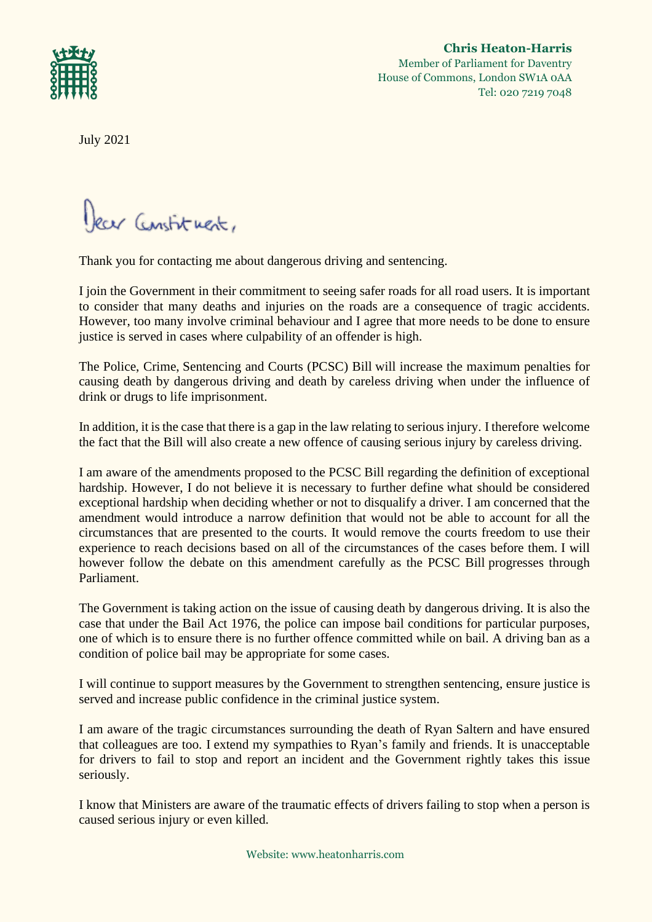

**Chris Heaton-Harris** Member of Parliament for Daventry House of Commons, London SW1A 0AA Tel: 020 7219 7048

July 2021

lear Constituent,

Thank you for contacting me about dangerous driving and sentencing.

I join the Government in their commitment to seeing safer roads for all road users. It is important to consider that many deaths and injuries on the roads are a consequence of tragic accidents. However, too many involve criminal behaviour and I agree that more needs to be done to ensure justice is served in cases where culpability of an offender is high.

The Police, Crime, Sentencing and Courts (PCSC) Bill will increase the maximum penalties for causing death by dangerous driving and death by careless driving when under the influence of drink or drugs to life imprisonment.

In addition, it is the case that there is a gap in the law relating to serious injury. I therefore welcome the fact that the Bill will also create a new offence of causing serious injury by careless driving.

I am aware of the amendments proposed to the PCSC Bill regarding the definition of exceptional hardship. However, I do not believe it is necessary to further define what should be considered exceptional hardship when deciding whether or not to disqualify a driver. I am concerned that the amendment would introduce a narrow definition that would not be able to account for all the circumstances that are presented to the courts. It would remove the courts freedom to use their experience to reach decisions based on all of the circumstances of the cases before them. I will however follow the debate on this amendment carefully as the PCSC Bill progresses through Parliament.

The Government is taking action on the issue of causing death by dangerous driving. It is also the case that under the Bail Act 1976, the police can impose bail conditions for particular purposes, one of which is to ensure there is no further offence committed while on bail. A driving ban as a condition of police bail may be appropriate for some cases.

I will continue to support measures by the Government to strengthen sentencing, ensure justice is served and increase public confidence in the criminal justice system.

I am aware of the tragic circumstances surrounding the death of Ryan Saltern and have ensured that colleagues are too. I extend my sympathies to Ryan's family and friends. It is unacceptable for drivers to fail to stop and report an incident and the Government rightly takes this issue seriously.

I know that Ministers are aware of the traumatic effects of drivers failing to stop when a person is caused serious injury or even killed.